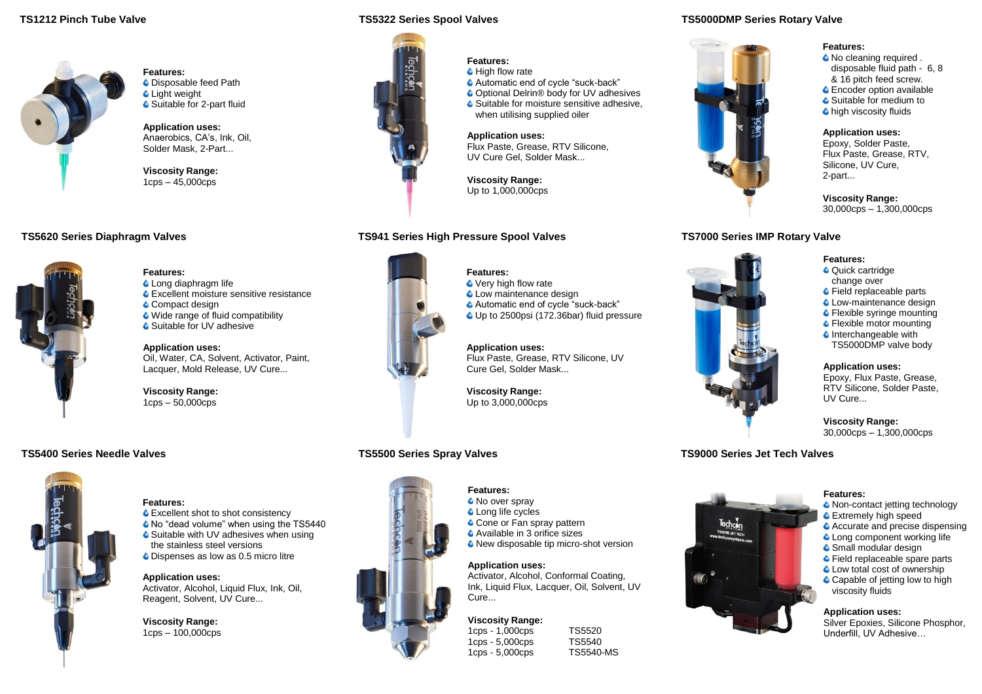## **TS1212 Pinch Tube Valve**



**Features: C** Disposable feed Path **C** Light weight ● Suitable for 2-part fluid

**Application uses:** Anaerobics, CA's, Ink, Oil, Solder Mask, 2-Part...

**Viscosity Range:** 1cps – 45,000cps

# **TS5620 Series Diaphragm Valves**



#### **Features: C** Long diaphragm life

**C** Excellent moisture sensitive resistance

Compact design

- Wide range of fluid compatibility
- Suitable for UV adhesive

**Application uses:** Oil, Water, CA, Solvent, Activator, Paint, Lacquer, Mold Release, UV Cure...

**Viscosity Range:** 1cps – 50,000cps

# **TS5400 Series Needle Valves**



#### **Features:**

● Excellent shot to shot consistency

No "dead volume" when using the TS5440 G Suitable with UV adhesives when using

the stainless steel versions Dispenses as low as 0.5 micro litre

**Application uses:** Activator, Alcohol, Liquid Flux, Ink, Oil, Reagent, Solvent, UV Cure...

**Viscosity Range:** 1cps – 100,000cps

#### **TS5322 Series Spool Valves TS5000DMP Series Rotary Valve**



# **Features:**

- **C** High flow rate
- Automatic end of cycle "suck-back"
- Optional Delrin<sup>®</sup> body for UV adhesives **■** Suitable for moisture sensitive adhesive,
- when utilising supplied oiler

#### **Application uses:**

Flux Paste, Grease, RTV Silicone, UV Cure Gel, Solder Mask...

**Viscosity Range:**

## **TS941 Series High Pressure Spool Valves**



#### Automatic end of cycle "suck-back" Up to 2500psi (172.36bar) fluid pressure

● Very high flow rate  $\bullet$  Low maintenance design

**Features:**

**Application uses:** Flux Paste, Grease, RTV Silicone, UV

Up to 3,000,000cps

# **TS5500 Series Spray Valves**



Up to 1,000,000cps

# **TS7000 Series IMP Rotary Valve**



**Features:** 

 $\bullet$  No cleaning required. disposable fluid path - 6, 8 & 16 pitch feed screw. **C** Encoder option available ● Suitable for medium to **C** high viscosity fluids

### **Application uses:**

Epoxy, Solder Paste, Flux Paste, Grease, RTV, Silicone, UV Cure, 2-part...

**Viscosity Range:** 30,000cps – 1,300,000cps

#### **Features: Quick cartridge**

- change over
- **C** Field replaceable parts
- **C** Low-maintenance design
- **C** Flexible syringe mounting
- **C** Flexible motor mounting
- $\bullet$  Interchangeable with TS5000DMP valve body

#### **Application uses:** Epoxy, Flux Paste, Grease, RTV Silicone, Solder Paste, UV Cure...

#### **Viscosity Range:** 30,000cps – 1,300,000cps

# **TS9000 Series Jet Tech Valves**



#### **Features:**

- <sup>O</sup> Non-contact jetting technology
- Extremely high speed
- Accurate and precise dispensing
- Long component working life
- **■** Small modular design
- **↓** Field replaceable spare parts
- **C** Low total cost of ownership
- Capable of jetting low to high viscosity fluids

### **Application uses:**

Silver Epoxies, Silicone Phosphor, Underfill, UV Adhesive…

**C** Long life cycles Cone or Fan spray pattern Available in 3 orifice sizes ● New disposable tip micro-shot version

**Features:** <sup>O</sup> No over spray

**Application uses:**

Activator, Alcohol, Conformal Coating, Ink, Liquid Flux, Lacquer, Oil, Solvent, UV Cure...

# **Viscosity Range:**

1cps - 1,000cps TS5520<br>1cps - 5.000cps TS5540  $1$ cps -  $5,000$ cps

1cps - 5,000cps TS5540<br>1cps - 5,000cps TS5540-MS

Cure Gel, Solder Mask... **Viscosity Range:**